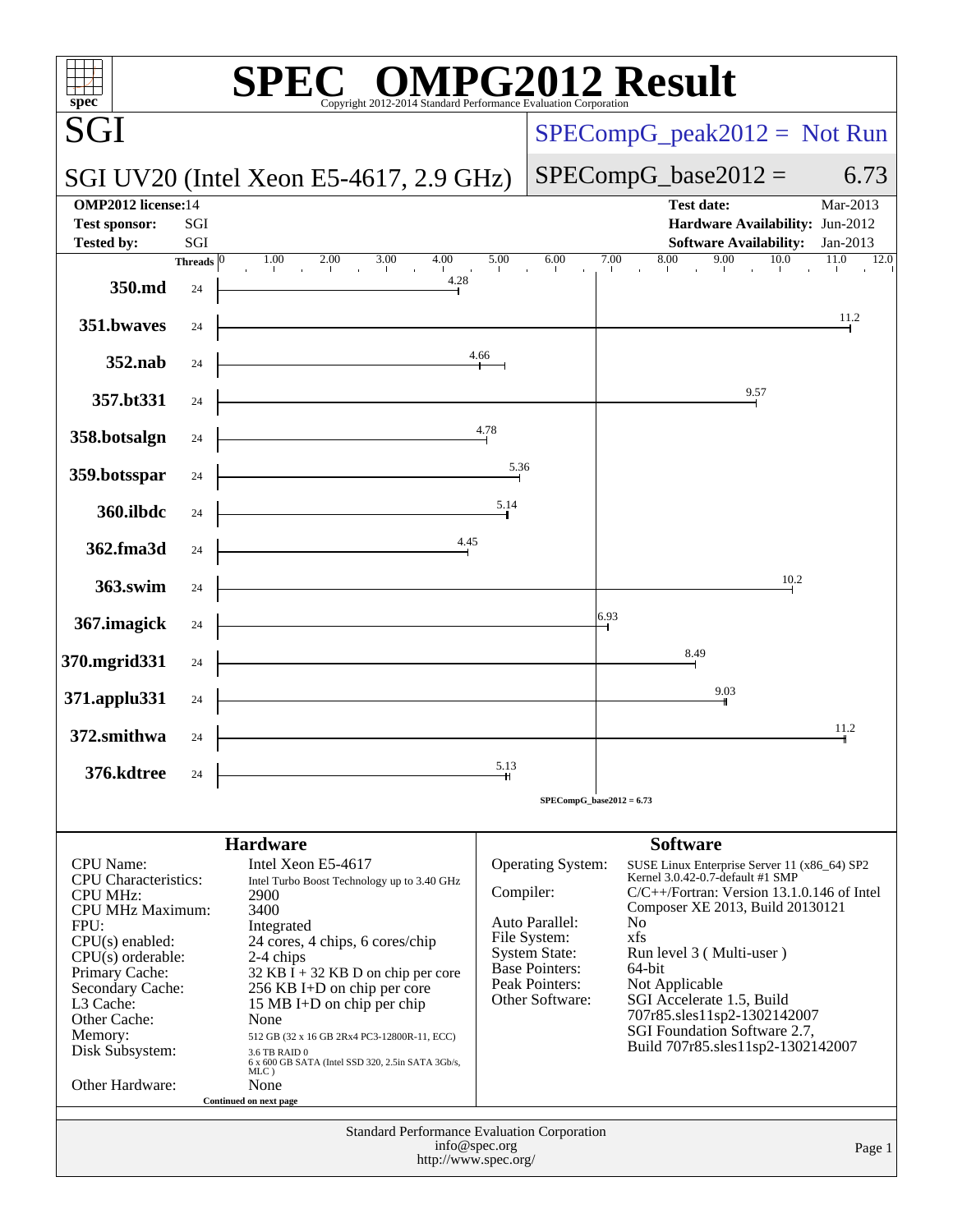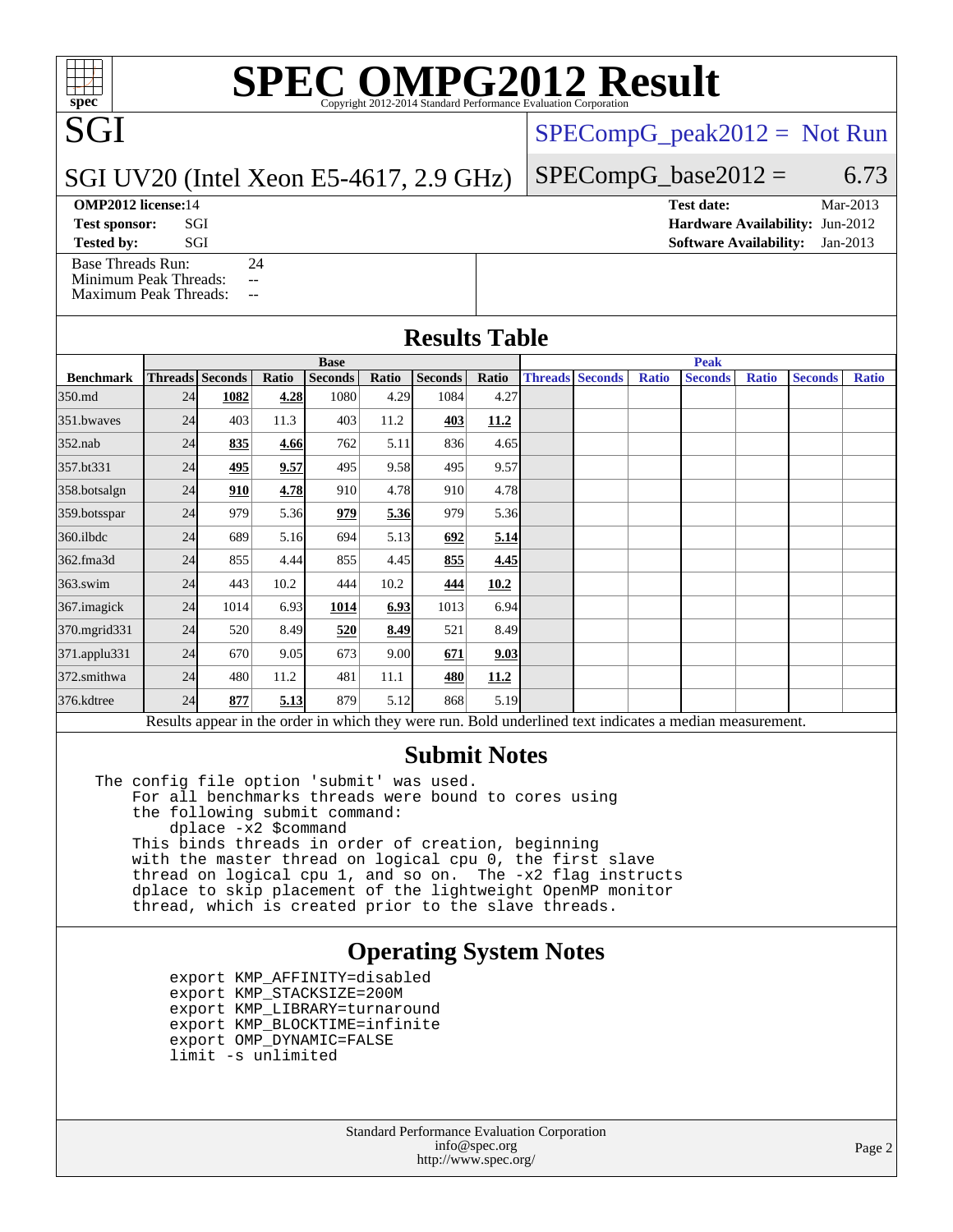# **[SPEC OMPG2012 Result](http://www.spec.org/auto/omp2012/Docs/result-fields.html#SPECOMPG2012Result)**

[SPECompG\\_peak2012 =](http://www.spec.org/auto/omp2012/Docs/result-fields.html#SPECompGpeak2012) Not Run

 $SPECompG_base2012 = 6.73$  $SPECompG_base2012 = 6.73$ 

## SGI UV20 (Intel Xeon E5-4617, 2.9 GHz)

SGI

[Base Threads Run:](http://www.spec.org/auto/omp2012/Docs/result-fields.html#BaseThreadsRun) 24 [Minimum Peak Threads:](http://www.spec.org/auto/omp2012/Docs/result-fields.html#MinimumPeakThreads) --

[Maximum Peak Threads:](http://www.spec.org/auto/omp2012/Docs/result-fields.html#MaximumPeakThreads) --

| <b>OMP2012 license:14</b> |     |  |  | <b>Test date:</b>                      | Mar-2013 |
|---------------------------|-----|--|--|----------------------------------------|----------|
| <b>Test sponsor:</b>      | SGI |  |  | <b>Hardware Availability: Jun-2012</b> |          |

**[Tested by:](http://www.spec.org/auto/omp2012/Docs/result-fields.html#Testedby)** SGI SOL SERVICE SERVICE SERVICE 2013

#### **[Results Table](http://www.spec.org/auto/omp2012/Docs/result-fields.html#ResultsTable)**

|                                                                                                          | <b>Base</b> |                 |       |                |       |                |             | <b>Peak</b> |                        |              |                |              |                |              |
|----------------------------------------------------------------------------------------------------------|-------------|-----------------|-------|----------------|-------|----------------|-------------|-------------|------------------------|--------------|----------------|--------------|----------------|--------------|
| <b>Benchmark</b>                                                                                         |             | Threads Seconds | Ratio | <b>Seconds</b> | Ratio | <b>Seconds</b> | Ratio       |             | <b>Threads Seconds</b> | <b>Ratio</b> | <b>Seconds</b> | <b>Ratio</b> | <b>Seconds</b> | <b>Ratio</b> |
| 350.md                                                                                                   | 24          | 1082            | 4.28  | 1080           | 4.29  | 1084           | 4.27        |             |                        |              |                |              |                |              |
| 351.bwaves                                                                                               | 24          | 403             | 11.3  | 403            | 11.2  | 403            | 11.2        |             |                        |              |                |              |                |              |
| $352$ .nab                                                                                               | 24          | 835             | 4.66  | 762            | 5.11  | 836            | 4.65        |             |                        |              |                |              |                |              |
| 357.bt331                                                                                                | 24          | <u>495</u>      | 9.57  | 495            | 9.58  | 495            | 9.57        |             |                        |              |                |              |                |              |
| 358.botsalgn                                                                                             | 24          | 910             | 4.78  | 910            | 4.78  | 910            | 4.78        |             |                        |              |                |              |                |              |
| 359.botsspar                                                                                             | 24          | 979             | 5.36  | 979            | 5.36  | 979            | 5.36        |             |                        |              |                |              |                |              |
| $360$ .ilbdc                                                                                             | 24          | 689             | 5.16  | 694            | 5.13  | 692            | 5.14        |             |                        |              |                |              |                |              |
| 362.fma3d                                                                                                | 24          | 855             | 4.44  | 855            | 4.45  | 855            | 4.45        |             |                        |              |                |              |                |              |
| $363$ .swim                                                                                              | 24          | 443             | 10.2  | 444            | 10.2  | 444            | 10.2        |             |                        |              |                |              |                |              |
| 367.imagick                                                                                              | 24          | 1014            | 6.93  | 1014           | 6.93  | 1013           | 6.94        |             |                        |              |                |              |                |              |
| 370.mgrid331                                                                                             | 24          | 520             | 8.49  | 520            | 8.49  | 521            | 8.49        |             |                        |              |                |              |                |              |
| 371.applu331                                                                                             | 24          | 670             | 9.05  | 673            | 9.00  | 671            | 9.03        |             |                        |              |                |              |                |              |
| 372.smithwa                                                                                              | 24          | 480             | 11.2  | 481            | 11.1  | 480            | <u>11.2</u> |             |                        |              |                |              |                |              |
| 376.kdtree                                                                                               | 24          | 877             | 5.13  | 879            | 5.12  | 868            | 5.19        |             |                        |              |                |              |                |              |
| Results appear in the order in which they were run. Bold underlined text indicates a median measurement. |             |                 |       |                |       |                |             |             |                        |              |                |              |                |              |

## **[Submit Notes](http://www.spec.org/auto/omp2012/Docs/result-fields.html#SubmitNotes)**

The config file option 'submit' was used. For all benchmarks threads were bound to cores using the following submit command: dplace -x2 \$command This binds threads in order of creation, beginning with the master thread on logical cpu 0, the first slave thread on logical cpu 1, and so on. The -x2 flag instructs dplace to skip placement of the lightweight OpenMP monitor thread, which is created prior to the slave threads.

## **[Operating System Notes](http://www.spec.org/auto/omp2012/Docs/result-fields.html#OperatingSystemNotes)**

 export KMP\_AFFINITY=disabled export KMP\_STACKSIZE=200M export KMP\_LIBRARY=turnaround export KMP\_BLOCKTIME=infinite export OMP\_DYNAMIC=FALSE limit -s unlimited

> Standard Performance Evaluation Corporation [info@spec.org](mailto:info@spec.org) <http://www.spec.org/>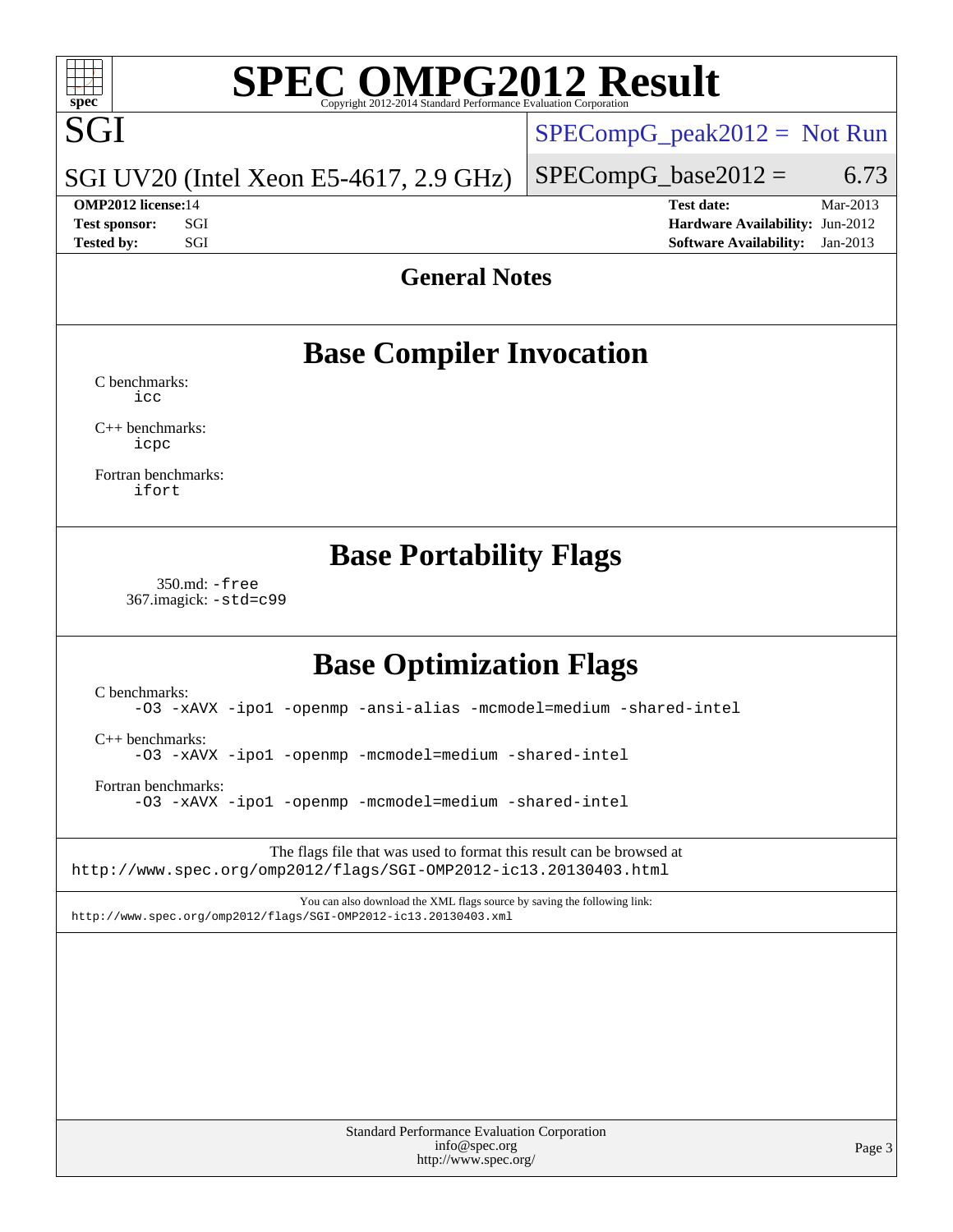# **[SPEC OMPG2012 Result](http://www.spec.org/auto/omp2012/Docs/result-fields.html#SPECOMPG2012Result)**

# **SGI**

[SPECompG\\_peak2012 =](http://www.spec.org/auto/omp2012/Docs/result-fields.html#SPECompGpeak2012) Not Run

### SGI UV20 (Intel Xeon E5-4617, 2.9 GHz)

 $SPECompG_base2012 = 6.73$  $SPECompG_base2012 = 6.73$ **[OMP2012 license:](http://www.spec.org/auto/omp2012/Docs/result-fields.html#OMP2012license)**14 **[Test date:](http://www.spec.org/auto/omp2012/Docs/result-fields.html#Testdate)** Mar-2013

**[Test sponsor:](http://www.spec.org/auto/omp2012/Docs/result-fields.html#Testsponsor)** SGI **[Hardware Availability:](http://www.spec.org/auto/omp2012/Docs/result-fields.html#HardwareAvailability)** Jun-2012 **[Tested by:](http://www.spec.org/auto/omp2012/Docs/result-fields.html#Testedby)** SGI SOL SERVICE SERVICE SERVICE 2013

## **[General Notes](http://www.spec.org/auto/omp2012/Docs/result-fields.html#GeneralNotes)**

# **[Base Compiler Invocation](http://www.spec.org/auto/omp2012/Docs/result-fields.html#BaseCompilerInvocation)**

[C benchmarks](http://www.spec.org/auto/omp2012/Docs/result-fields.html#Cbenchmarks): [icc](http://www.spec.org/omp2012/results/res2013q2/omp2012-20130318-00026.flags.html#user_CCbase_intel_icc_a87c68a857bc5ec5362391a49d3a37a6)

[C++ benchmarks:](http://www.spec.org/auto/omp2012/Docs/result-fields.html#CXXbenchmarks) [icpc](http://www.spec.org/omp2012/results/res2013q2/omp2012-20130318-00026.flags.html#user_CXXbase_intel_icpc_2d899f8d163502b12eb4a60069f80c1c)

[Fortran benchmarks](http://www.spec.org/auto/omp2012/Docs/result-fields.html#Fortranbenchmarks): [ifort](http://www.spec.org/omp2012/results/res2013q2/omp2012-20130318-00026.flags.html#user_FCbase_intel_ifort_8a5e5e06b19a251bdeaf8fdab5d62f20)

# **[Base Portability Flags](http://www.spec.org/auto/omp2012/Docs/result-fields.html#BasePortabilityFlags)**

 350.md: [-free](http://www.spec.org/omp2012/results/res2013q2/omp2012-20130318-00026.flags.html#user_baseFPORTABILITY350_md_free) 367.imagick: [-std=c99](http://www.spec.org/omp2012/results/res2013q2/omp2012-20130318-00026.flags.html#user_baseCPORTABILITY367_imagick_std_2ec6533b6e06f1c4a6c9b78d9e9cde24)

# **[Base Optimization Flags](http://www.spec.org/auto/omp2012/Docs/result-fields.html#BaseOptimizationFlags)**

[C benchmarks](http://www.spec.org/auto/omp2012/Docs/result-fields.html#Cbenchmarks):

[-O3](http://www.spec.org/omp2012/results/res2013q2/omp2012-20130318-00026.flags.html#user_CCbase_f-O3) [-xAVX](http://www.spec.org/omp2012/results/res2013q2/omp2012-20130318-00026.flags.html#user_CCbase_f-xAVX) [-ipo1](http://www.spec.org/omp2012/results/res2013q2/omp2012-20130318-00026.flags.html#user_CCbase_f-ipo_116921c2575d566c213f1dd5e08493d2) [-openmp](http://www.spec.org/omp2012/results/res2013q2/omp2012-20130318-00026.flags.html#user_CCbase_f-openmp) [-ansi-alias](http://www.spec.org/omp2012/results/res2013q2/omp2012-20130318-00026.flags.html#user_CCbase_f-ansi-alias) [-mcmodel=medium](http://www.spec.org/omp2012/results/res2013q2/omp2012-20130318-00026.flags.html#user_CCbase_f-mcmodel_3a41622424bdd074c4f0f2d2f224c7e5) [-shared-intel](http://www.spec.org/omp2012/results/res2013q2/omp2012-20130318-00026.flags.html#user_CCbase_f-shared-intel)

[C++ benchmarks:](http://www.spec.org/auto/omp2012/Docs/result-fields.html#CXXbenchmarks)

[-O3](http://www.spec.org/omp2012/results/res2013q2/omp2012-20130318-00026.flags.html#user_CXXbase_f-O3) [-xAVX](http://www.spec.org/omp2012/results/res2013q2/omp2012-20130318-00026.flags.html#user_CXXbase_f-xAVX) [-ipo1](http://www.spec.org/omp2012/results/res2013q2/omp2012-20130318-00026.flags.html#user_CXXbase_f-ipo_116921c2575d566c213f1dd5e08493d2) [-openmp](http://www.spec.org/omp2012/results/res2013q2/omp2012-20130318-00026.flags.html#user_CXXbase_f-openmp) [-mcmodel=medium](http://www.spec.org/omp2012/results/res2013q2/omp2012-20130318-00026.flags.html#user_CXXbase_f-mcmodel_3a41622424bdd074c4f0f2d2f224c7e5) [-shared-intel](http://www.spec.org/omp2012/results/res2013q2/omp2012-20130318-00026.flags.html#user_CXXbase_f-shared-intel)

[Fortran benchmarks](http://www.spec.org/auto/omp2012/Docs/result-fields.html#Fortranbenchmarks):

[-O3](http://www.spec.org/omp2012/results/res2013q2/omp2012-20130318-00026.flags.html#user_FCbase_f-O3) [-xAVX](http://www.spec.org/omp2012/results/res2013q2/omp2012-20130318-00026.flags.html#user_FCbase_f-xAVX) [-ipo1](http://www.spec.org/omp2012/results/res2013q2/omp2012-20130318-00026.flags.html#user_FCbase_f-ipo_116921c2575d566c213f1dd5e08493d2) [-openmp](http://www.spec.org/omp2012/results/res2013q2/omp2012-20130318-00026.flags.html#user_FCbase_f-openmp) [-mcmodel=medium](http://www.spec.org/omp2012/results/res2013q2/omp2012-20130318-00026.flags.html#user_FCbase_f-mcmodel_3a41622424bdd074c4f0f2d2f224c7e5) [-shared-intel](http://www.spec.org/omp2012/results/res2013q2/omp2012-20130318-00026.flags.html#user_FCbase_f-shared-intel)

The flags file that was used to format this result can be browsed at <http://www.spec.org/omp2012/flags/SGI-OMP2012-ic13.20130403.html>

You can also download the XML flags source by saving the following link: <http://www.spec.org/omp2012/flags/SGI-OMP2012-ic13.20130403.xml>